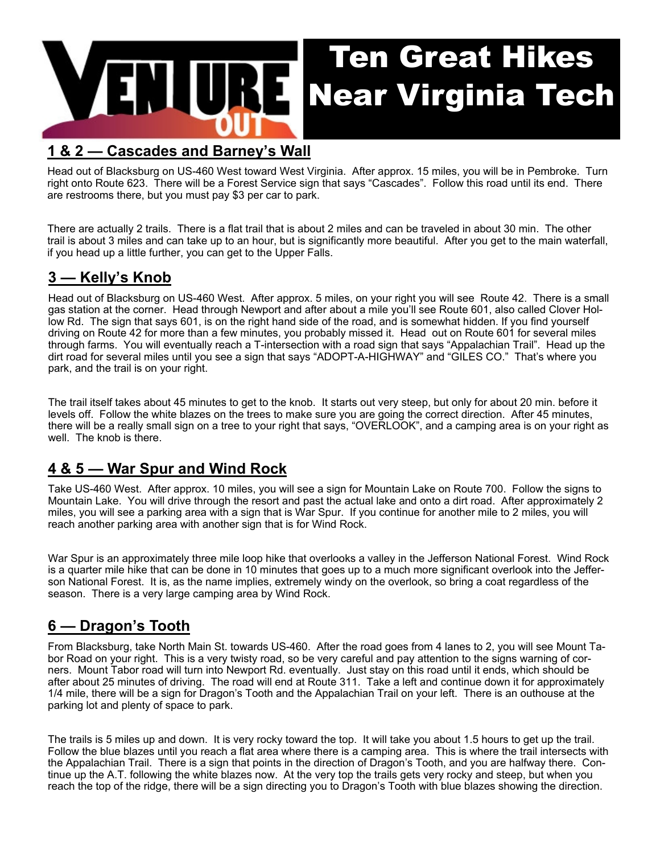

#### **1 & 2 — Cascades and Barney's Wall**

Head out of Blacksburg on US-460 West toward West Virginia. After approx. 15 miles, you will be in Pembroke. Turn right onto Route 623. There will be a Forest Service sign that says "Cascades". Follow this road until its end. There are restrooms there, but you must pay \$3 per car to park.

There are actually 2 trails. There is a flat trail that is about 2 miles and can be traveled in about 30 min. The other trail is about 3 miles and can take up to an hour, but is significantly more beautiful. After you get to the main waterfall, if you head up a little further, you can get to the Upper Falls.

# **3 — Kelly's Knob**

Head out of Blacksburg on US-460 West. After approx. 5 miles, on your right you will see Route 42. There is a small gas station at the corner. Head through Newport and after about a mile you'll see Route 601, also called Clover Hollow Rd. The sign that says 601, is on the right hand side of the road, and is somewhat hidden. If you find yourself driving on Route 42 for more than a few minutes, you probably missed it. Head out on Route 601 for several miles through farms. You will eventually reach a T-intersection with a road sign that says "Appalachian Trail". Head up the dirt road for several miles until you see a sign that says "ADOPT-A-HIGHWAY" and "GILES CO." That's where you park, and the trail is on your right.

The trail itself takes about 45 minutes to get to the knob. It starts out very steep, but only for about 20 min. before it levels off. Follow the white blazes on the trees to make sure you are going the correct direction. After 45 minutes, there will be a really small sign on a tree to your right that says, "OVERLOOK", and a camping area is on your right as well. The knob is there.

#### **4 & 5 — War Spur and Wind Rock**

Take US-460 West. After approx. 10 miles, you will see a sign for Mountain Lake on Route 700. Follow the signs to Mountain Lake. You will drive through the resort and past the actual lake and onto a dirt road. After approximately 2 miles, you will see a parking area with a sign that is War Spur. If you continue for another mile to 2 miles, you will reach another parking area with another sign that is for Wind Rock.

War Spur is an approximately three mile loop hike that overlooks a valley in the Jefferson National Forest. Wind Rock is a quarter mile hike that can be done in 10 minutes that goes up to a much more significant overlook into the Jefferson National Forest. It is, as the name implies, extremely windy on the overlook, so bring a coat regardless of the season. There is a very large camping area by Wind Rock.

## **6 — Dragon's Tooth**

From Blacksburg, take North Main St. towards US-460. After the road goes from 4 lanes to 2, you will see Mount Tabor Road on your right. This is a very twisty road, so be very careful and pay attention to the signs warning of corners. Mount Tabor road will turn into Newport Rd. eventually. Just stay on this road until it ends, which should be after about 25 minutes of driving. The road will end at Route 311. Take a left and continue down it for approximately 1/4 mile, there will be a sign for Dragon's Tooth and the Appalachian Trail on your left. There is an outhouse at the parking lot and plenty of space to park.

The trails is 5 miles up and down. It is very rocky toward the top. It will take you about 1.5 hours to get up the trail. Follow the blue blazes until you reach a flat area where there is a camping area. This is where the trail intersects with the Appalachian Trail. There is a sign that points in the direction of Dragon's Tooth, and you are halfway there. Continue up the A.T. following the white blazes now. At the very top the trails gets very rocky and steep, but when you reach the top of the ridge, there will be a sign directing you to Dragon's Tooth with blue blazes showing the direction.